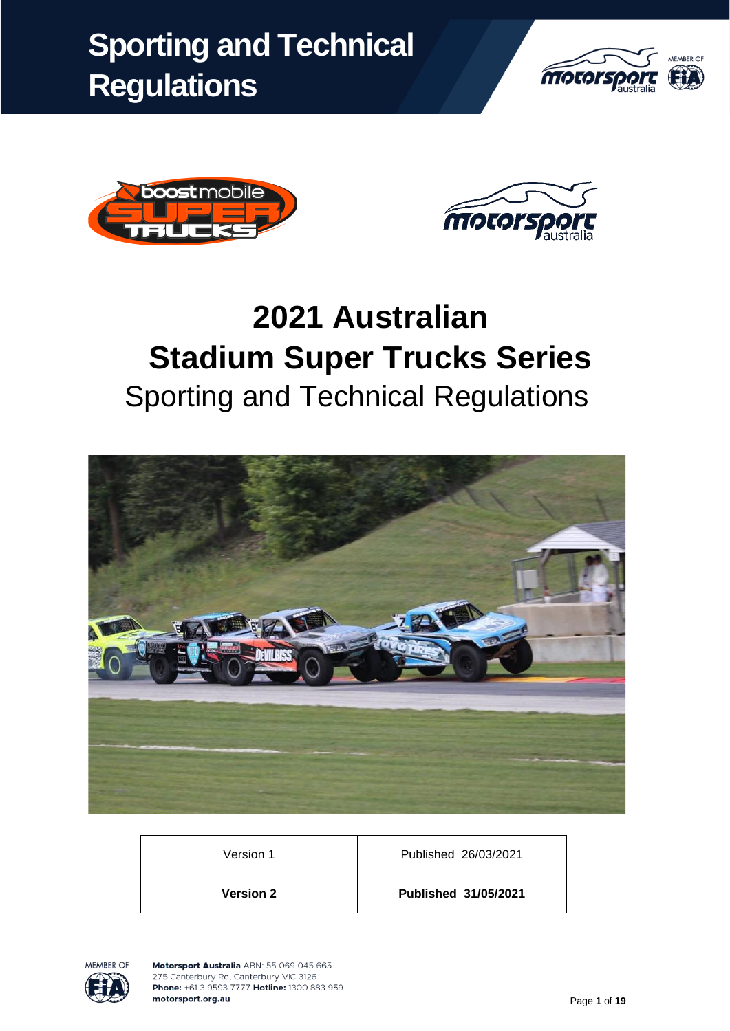





# **2021 Australian Stadium Super Trucks Series** Sporting and Technical Regulations



| <b>Version 2</b> | Published 31/05/2021 |
|------------------|----------------------|
| Version 1        | Published 26/03/2021 |

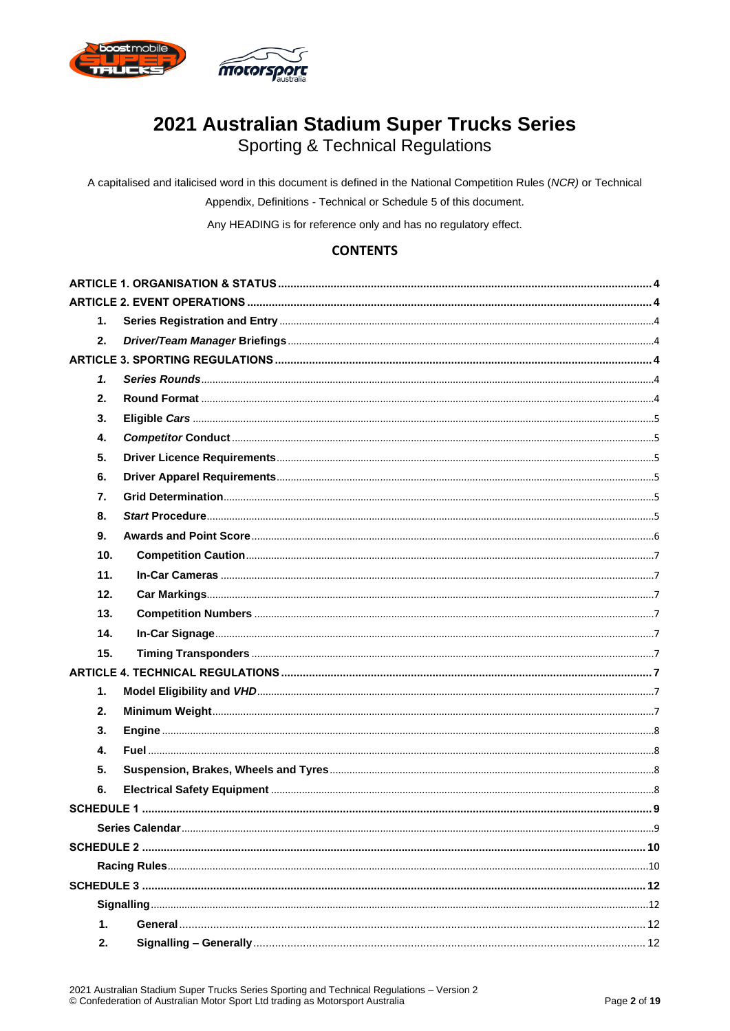

# 2021 Australian Stadium Super Trucks Series

Sporting & Technical Regulations

A capitalised and italicised word in this document is defined in the National Competition Rules (NCR) or Technical Appendix, Definitions - Technical or Schedule 5 of this document.

Any HEADING is for reference only and has no regulatory effect.

### **CONTENTS**

| 1.          |  |
|-------------|--|
| 2.          |  |
|             |  |
| 1.          |  |
| 2.          |  |
| 3.          |  |
| 4.          |  |
| 5.          |  |
| 6.          |  |
| 7.          |  |
| 8.          |  |
| 9.          |  |
| 10.         |  |
| 11.         |  |
| 12.         |  |
| 13.         |  |
| 14.         |  |
| 15.         |  |
|             |  |
| 1.          |  |
| 2.          |  |
| 3.          |  |
| 4.          |  |
| 5.          |  |
| 6.          |  |
|             |  |
|             |  |
|             |  |
|             |  |
|             |  |
|             |  |
| $\mathbf 1$ |  |
| 2.          |  |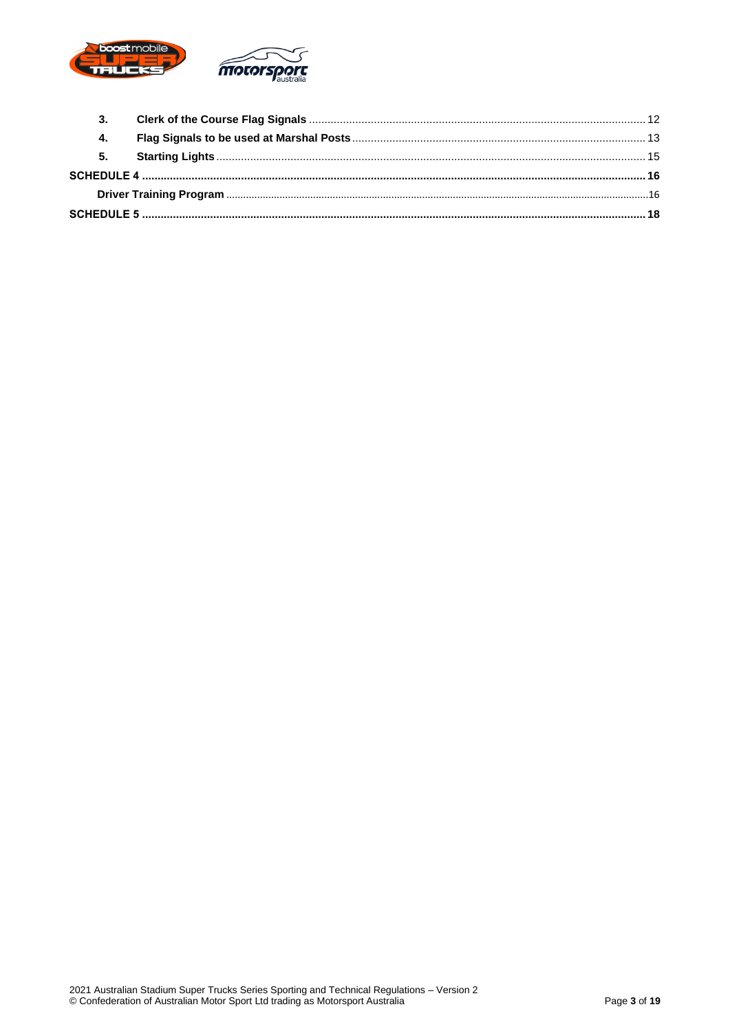

| 4. |  |
|----|--|
| 5. |  |
|    |  |
|    |  |
|    |  |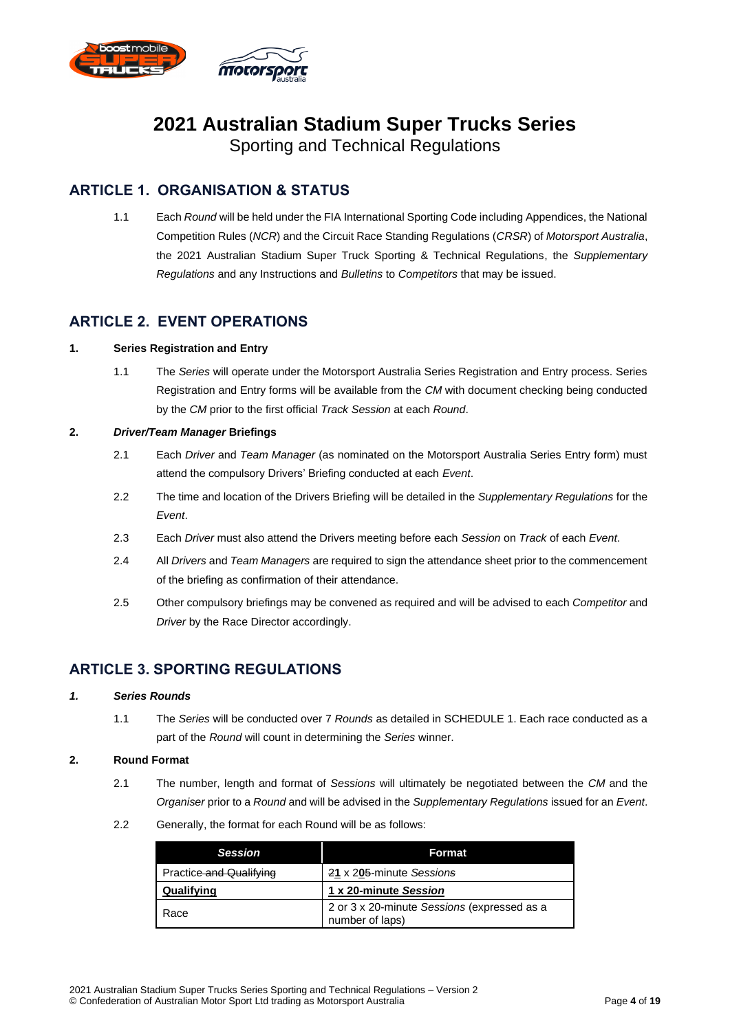

# **2021 Australian Stadium Super Trucks Series**

Sporting and Technical Regulations

# **ARTICLE 1. ORGANISATION & STATUS**

<span id="page-3-0"></span>1.1 Each *Round* will be held under the FIA International Sporting Code including Appendices, the National Competition Rules (*NCR*) and the Circuit Race Standing Regulations (*CRSR*) of *Motorsport Australia*, the 2021 Australian Stadium Super Truck Sporting & Technical Regulations, the *Supplementary Regulations* and any Instructions and *Bulletins* to *Competitors* that may be issued.

### **ARTICLE 2. EVENT OPERATIONS**

#### <span id="page-3-2"></span>**1. Series Registration and Entry**

<span id="page-3-1"></span>1.1 The *Series* will operate under the Motorsport Australia Series Registration and Entry process. Series Registration and Entry forms will be available from the *CM* with document checking being conducted by the *CM* prior to the first official *Track Session* at each *Round*.

#### <span id="page-3-3"></span>**2.** *Driver/Team Manager* **Briefings**

- 2.1 Each *Driver* and *Team Manager* (as nominated on the Motorsport Australia Series Entry form) must attend the compulsory Drivers' Briefing conducted at each *Event*.
- 2.2 The time and location of the Drivers Briefing will be detailed in the *Supplementary Regulations* for the *Event*.
- 2.3 Each *Driver* must also attend the Drivers meeting before each *Session* on *Track* of each *Event*.
- 2.4 All *Drivers* and *Team Managers* are required to sign the attendance sheet prior to the commencement of the briefing as confirmation of their attendance.
- 2.5 Other compulsory briefings may be convened as required and will be advised to each *Competitor* and *Driver* by the Race Director accordingly.

# <span id="page-3-4"></span>**ARTICLE 3. SPORTING REGULATIONS**

#### <span id="page-3-5"></span>*1. Series Rounds*

1.1 The *Series* will be conducted over 7 *Rounds* as detailed in [SCHEDULE 1.](#page-8-0) Each race conducted as a part of the *Round* will count in determining the *Series* winner.

#### <span id="page-3-6"></span>**2. Round Format**

- 2.1 The number, length and format of *Sessions* will ultimately be negotiated between the *CM* and the *Organiser* prior to a *Round* and will be advised in the *Supplementary Regulations* issued for an *Event*.
- 2.2 Generally, the format for each Round will be as follows:

| <b>Session</b>          | Format                                                         |
|-------------------------|----------------------------------------------------------------|
| Practice and Qualifying | 21 x 205-minute Sessions                                       |
| Qualifying              | 1 x 20-minute Session                                          |
| l Race                  | 2 or 3 x 20-minute Sessions (expressed as a<br>number of laps) |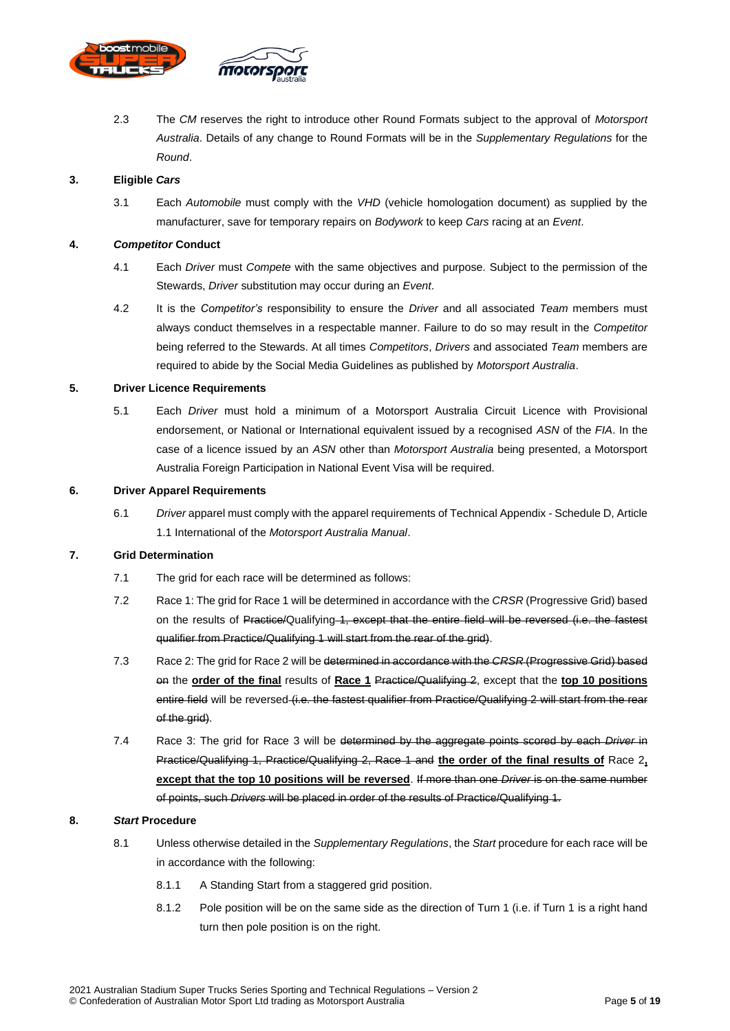

2.3 The *CM* reserves the right to introduce other Round Formats subject to the approval of *Motorsport Australia*. Details of any change to Round Formats will be in the *Supplementary Regulations* for the *Round*.

#### <span id="page-4-0"></span>**3. Eligible** *Cars*

3.1 Each *Automobile* must comply with the *VHD* (vehicle homologation document) as supplied by the manufacturer, save for temporary repairs on *Bodywork* to keep *Cars* racing at an *Event*.

#### <span id="page-4-1"></span>**4.** *Competitor* **Conduct**

- 4.1 Each *Driver* must *Compete* with the same objectives and purpose. Subject to the permission of the Stewards, *Driver* substitution may occur during an *Event*.
- 4.2 It is the *Competitor's* responsibility to ensure the *Driver* and all associated *Team* members must always conduct themselves in a respectable manner. Failure to do so may result in the *Competitor* being referred to the Stewards. At all times *Competitors*, *Drivers* and associated *Team* members are required to abide by the Social Media Guidelines as published by *Motorsport Australia*.

#### <span id="page-4-2"></span>**5. Driver Licence Requirements**

5.1 Each *Driver* must hold a minimum of a Motorsport Australia Circuit Licence with Provisional endorsement, or National or International equivalent issued by a recognised *ASN* of the *FIA*. In the case of a licence issued by an *ASN* other than *Motorsport Australia* being presented, a Motorsport Australia Foreign Participation in National Event Visa will be required.

#### <span id="page-4-3"></span>**6. Driver Apparel Requirements**

6.1 *Driver* apparel must comply with the apparel requirements of Technical Appendix - Schedule D, Article 1.1 International of the *Motorsport Australia Manual*.

#### <span id="page-4-4"></span>**7. Grid Determination**

- 7.1 The grid for each race will be determined as follows:
- 7.2 Race 1: The grid for Race 1 will be determined in accordance with the *CRSR* (Progressive Grid) based on the results of Practice/Qualifying 1, except that the entire field will be reversed (i.e. the fastest qualifier from Practice/Qualifying 1 will start from the rear of the grid).
- 7.3 Race 2: The grid for Race 2 will be determined in accordance with the *CRSR* (Progressive Grid) based on the **order of the final** results of **Race 1** Practice/Qualifying 2, except that the **top 10 positions** entire field will be reversed (i.e. the fastest qualifier from Practice/Qualifying 2 will start from the rear of the grid).
- 7.4 Race 3: The grid for Race 3 will be determined by the aggregate points scored by each *Driver* in Practice/Qualifying 1, Practice/Qualifying 2, Race 1 and **the order of the final results of** Race 2**, except that the top 10 positions will be reversed**. If more than one *Driver* is on the same number of points, such *Drivers* will be placed in order of the results of Practice/Qualifying 1.

#### <span id="page-4-5"></span>**8.** *Start* **Procedure**

- 8.1 Unless otherwise detailed in the *Supplementary Regulations*, the *Start* procedure for each race will be in accordance with the following:
	- 8.1.1 A Standing Start from a staggered grid position.
	- 8.1.2 Pole position will be on the same side as the direction of Turn 1 (i.e. if Turn 1 is a right hand turn then pole position is on the right.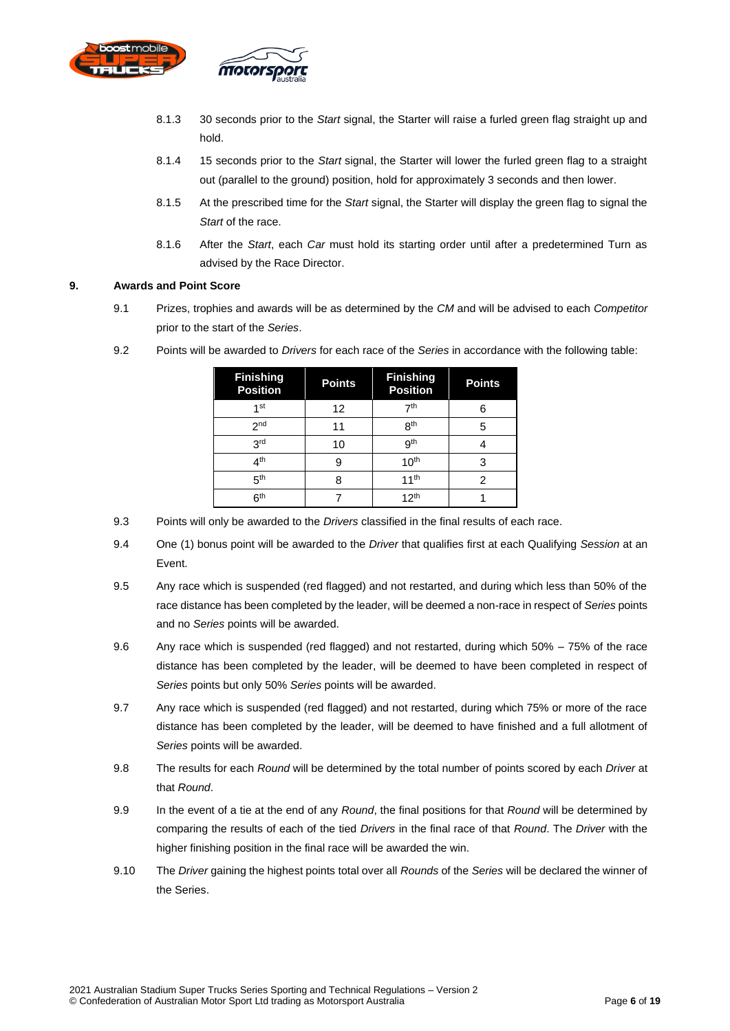

- 8.1.3 30 seconds prior to the *Start* signal, the Starter will raise a furled green flag straight up and hold.
- 8.1.4 15 seconds prior to the *Start* signal, the Starter will lower the furled green flag to a straight out (parallel to the ground) position, hold for approximately 3 seconds and then lower.
- 8.1.5 At the prescribed time for the *Start* signal, the Starter will display the green flag to signal the *Start* of the race.
- 8.1.6 After the *Start*, each *Car* must hold its starting order until after a predetermined Turn as advised by the Race Director.

#### <span id="page-5-0"></span>**9. Awards and Point Score**

9.1 Prizes, trophies and awards will be as determined by the *CM* and will be advised to each *Competitor* prior to the start of the *Series*.

| <b>Finishing</b><br><b>Position</b> | <b>Points</b> | <b>Finishing</b><br><b>Position</b> | <b>Points</b> |
|-------------------------------------|---------------|-------------------------------------|---------------|
| 1 <sub>st</sub>                     | 12            | 7 <sup>th</sup>                     | 6             |
| 2 <sub>nd</sub>                     | 11            | <b>Rth</b>                          | 5             |
| 3 <sub>rd</sub>                     | 10            | gth                                 |               |
| $\mathbf{\Lambda}^{\text{th}}$      | 9             | 10 <sup>th</sup>                    | 3             |
| 5 <sup>th</sup>                     | 8             | 11 <sup>th</sup>                    | 2             |
| 6 <sup>th</sup>                     |               | 12 <sup>th</sup>                    |               |

9.2 Points will be awarded to *Drivers* for each race of the *Series* in accordance with the following table:

- 9.3 Points will only be awarded to the *Drivers* classified in the final results of each race.
- 9.4 One (1) bonus point will be awarded to the *Driver* that qualifies first at each Qualifying *Session* at an Event.
- 9.5 Any race which is suspended (red flagged) and not restarted, and during which less than 50% of the race distance has been completed by the leader, will be deemed a non-race in respect of *Series* points and no *Series* points will be awarded.
- 9.6 Any race which is suspended (red flagged) and not restarted, during which 50% 75% of the race distance has been completed by the leader, will be deemed to have been completed in respect of *Series* points but only 50% *Series* points will be awarded.
- 9.7 Any race which is suspended (red flagged) and not restarted, during which 75% or more of the race distance has been completed by the leader, will be deemed to have finished and a full allotment of *Series* points will be awarded.
- 9.8 The results for each *Round* will be determined by the total number of points scored by each *Driver* at that *Round*.
- 9.9 In the event of a tie at the end of any *Round*, the final positions for that *Round* will be determined by comparing the results of each of the tied *Drivers* in the final race of that *Round*. The *Driver* with the higher finishing position in the final race will be awarded the win.
- 9.10 The *Driver* gaining the highest points total over all *Rounds* of the *Series* will be declared the winner of the Series.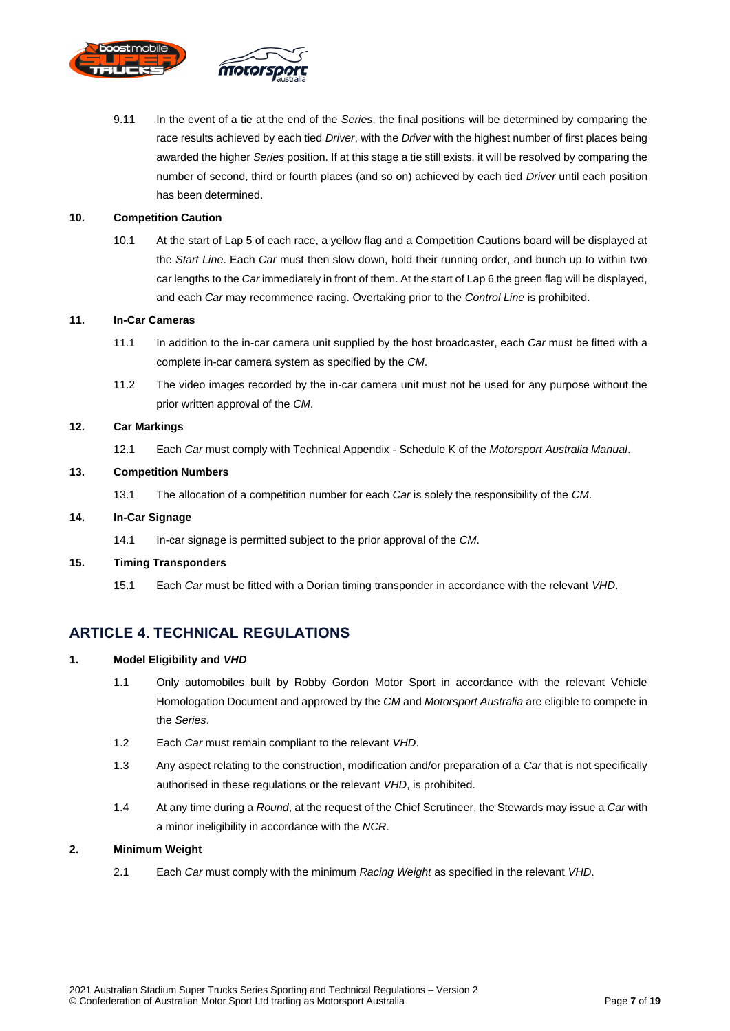

9.11 In the event of a tie at the end of the *Series*, the final positions will be determined by comparing the race results achieved by each tied *Driver*, with the *Driver* with the highest number of first places being awarded the higher *Series* position. If at this stage a tie still exists, it will be resolved by comparing the number of second, third or fourth places (and so on) achieved by each tied *Driver* until each position has been determined.

#### <span id="page-6-0"></span>**10. Competition Caution**

10.1 At the start of Lap 5 of each race, a yellow flag and a Competition Cautions board will be displayed at the *Start Line*. Each *Car* must then slow down, hold their running order, and bunch up to within two car lengths to the *Car* immediately in front of them. At the start of Lap 6 the green flag will be displayed, and each *Car* may recommence racing. Overtaking prior to the *Control Line* is prohibited.

#### <span id="page-6-1"></span>**11. In-Car Cameras**

- 11.1 In addition to the in-car camera unit supplied by the host broadcaster, each *Car* must be fitted with a complete in-car camera system as specified by the *CM*.
- 11.2 The video images recorded by the in-car camera unit must not be used for any purpose without the prior written approval of the *CM*.

#### <span id="page-6-2"></span>**12. Car Markings**

12.1 Each *Car* must comply with Technical Appendix - Schedule K of the *Motorsport Australia Manual*.

#### <span id="page-6-3"></span>**13. Competition Numbers**

13.1 The allocation of a competition number for each *Car* is solely the responsibility of the *CM*.

#### <span id="page-6-4"></span>**14. In-Car Signage**

14.1 In-car signage is permitted subject to the prior approval of the *CM*.

#### <span id="page-6-5"></span>**15. Timing Transponders**

15.1 Each *Car* must be fitted with a Dorian timing transponder in accordance with the relevant *VHD*.

#### <span id="page-6-6"></span>**ARTICLE 4. TECHNICAL REGULATIONS**

#### <span id="page-6-7"></span>**1. Model Eligibility and** *VHD*

- 1.1 Only automobiles built by Robby Gordon Motor Sport in accordance with the relevant Vehicle Homologation Document and approved by the *CM* and *Motorsport Australia* are eligible to compete in the *Series*.
- 1.2 Each *Car* must remain compliant to the relevant *VHD*.
- 1.3 Any aspect relating to the construction, modification and/or preparation of a *Car* that is not specifically authorised in these regulations or the relevant *VHD*, is prohibited.
- 1.4 At any time during a *Round*, at the request of the Chief Scrutineer, the Stewards may issue a *Car* with a minor ineligibility in accordance with the *NCR*.

#### <span id="page-6-8"></span>**2. Minimum Weight**

2.1 Each *Car* must comply with the minimum *Racing Weight* as specified in the relevant *VHD*.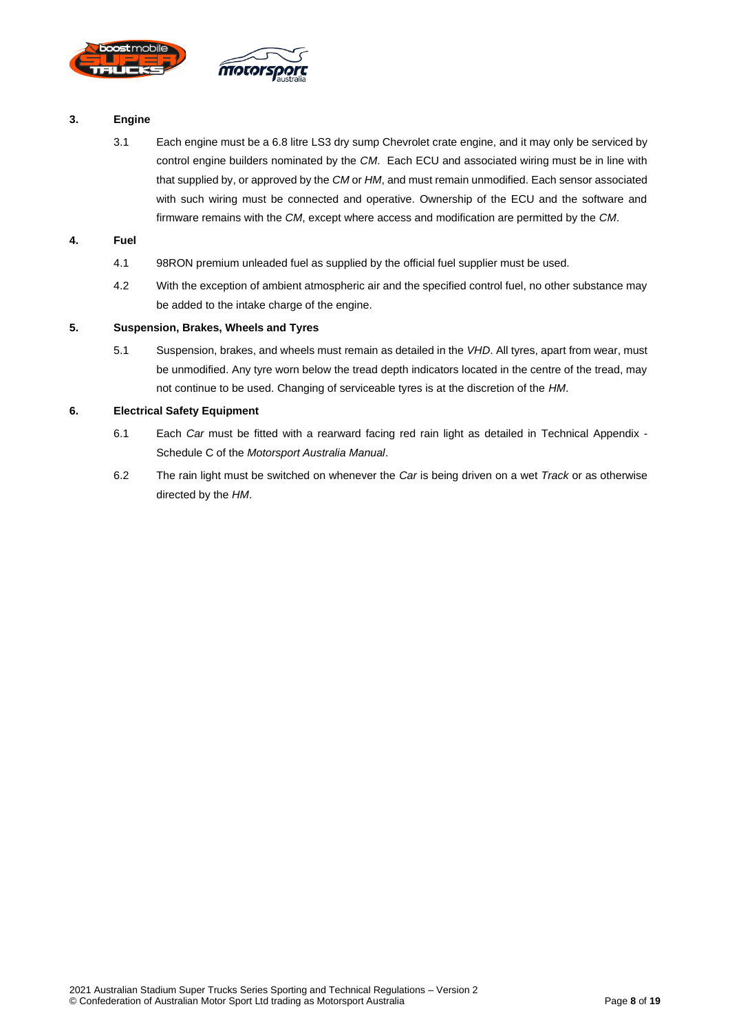

#### <span id="page-7-0"></span>**3. Engine**

3.1 Each engine must be a 6.8 litre LS3 dry sump Chevrolet crate engine, and it may only be serviced by control engine builders nominated by the *CM*. Each ECU and associated wiring must be in line with that supplied by, or approved by the *CM* or *HM*, and must remain unmodified. Each sensor associated with such wiring must be connected and operative. Ownership of the ECU and the software and firmware remains with the *CM*, except where access and modification are permitted by the *CM*.

#### <span id="page-7-1"></span>**4. Fuel**

- 4.1 98RON premium unleaded fuel as supplied by the official fuel supplier must be used.
- 4.2 With the exception of ambient atmospheric air and the specified control fuel, no other substance may be added to the intake charge of the engine.

#### <span id="page-7-2"></span>**5. Suspension, Brakes, Wheels and Tyres**

5.1 Suspension, brakes, and wheels must remain as detailed in the *VHD*. All tyres, apart from wear, must be unmodified. Any tyre worn below the tread depth indicators located in the centre of the tread, may not continue to be used. Changing of serviceable tyres is at the discretion of the *HM*.

#### <span id="page-7-3"></span>**6. Electrical Safety Equipment**

- 6.1 Each *Car* must be fitted with a rearward facing red rain light as detailed in Technical Appendix Schedule C of the *Motorsport Australia Manual*.
- 6.2 The rain light must be switched on whenever the *Car* is being driven on a wet *Track* or as otherwise directed by the *HM*.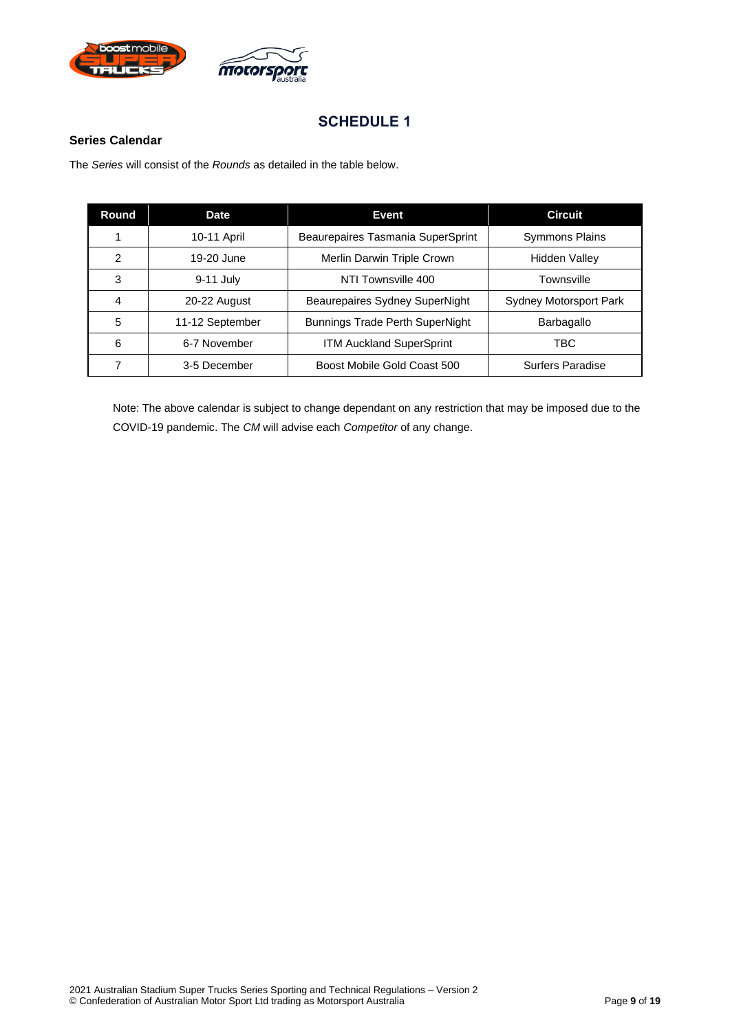



#### <span id="page-8-1"></span><span id="page-8-0"></span>**Series Calendar**

The *Series* will consist of the *Rounds* as detailed in the table below.

| Round | <b>Date</b>     | Event                                  | <b>Circuit</b>                |
|-------|-----------------|----------------------------------------|-------------------------------|
|       | 10-11 April     | Beaurepaires Tasmania SuperSprint      | <b>Symmons Plains</b>         |
| 2     | 19-20 June      | Merlin Darwin Triple Crown             | <b>Hidden Valley</b>          |
| 3     | 9-11 July       | NTI Townsville 400                     | Townsville                    |
| 4     | 20-22 August    | Beaurepaires Sydney SuperNight         | <b>Sydney Motorsport Park</b> |
| 5     | 11-12 September | <b>Bunnings Trade Perth SuperNight</b> | Barbagallo                    |
| 6     | 6-7 November    | <b>ITM Auckland SuperSprint</b>        | TBC                           |
|       | 3-5 December    | Boost Mobile Gold Coast 500            | Surfers Paradise              |

Note: The above calendar is subject to change dependant on any restriction that may be imposed due to the COVID-19 pandemic. The *CM* will advise each *Competitor* of any change.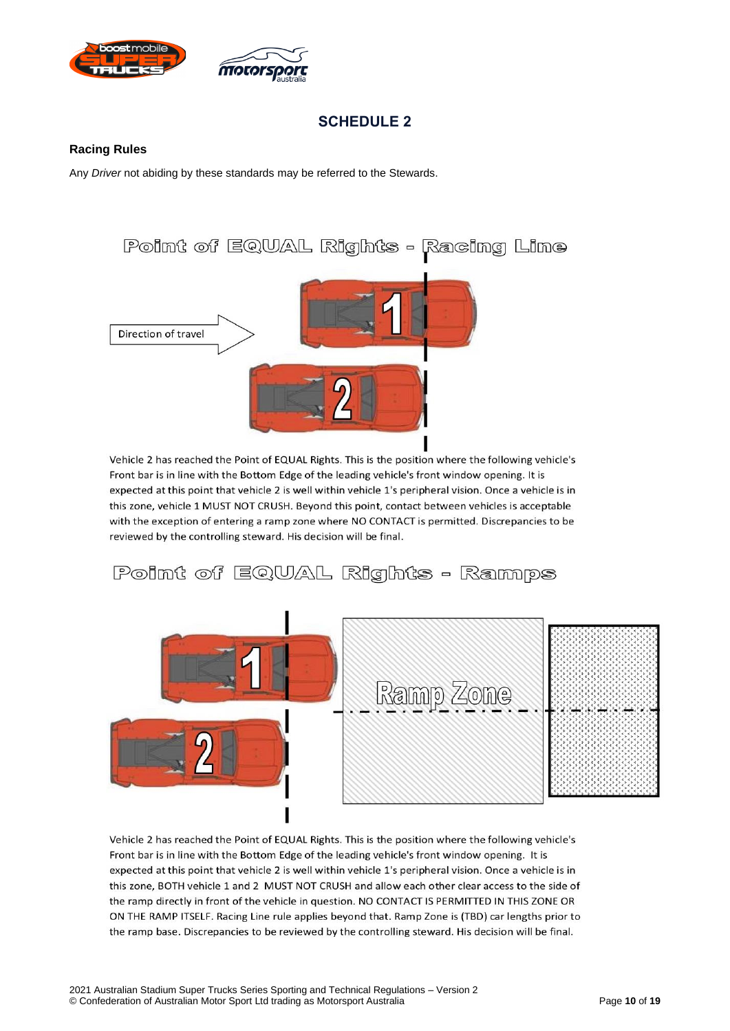

#### <span id="page-9-1"></span><span id="page-9-0"></span>**Racing Rules**

Any *Driver* not abiding by these standards may be referred to the Stewards.



Vehicle 2 has reached the Point of EQUAL Rights. This is the position where the following vehicle's Front bar is in line with the Bottom Edge of the leading vehicle's front window opening. It is expected at this point that vehicle 2 is well within vehicle 1's peripheral vision. Once a vehicle is in this zone, vehicle 1 MUST NOT CRUSH. Beyond this point, contact between vehicles is acceptable with the exception of entering a ramp zone where NO CONTACT is permitted. Discrepancies to be reviewed by the controlling steward. His decision will be final.

Point of EQUAL Rights - Ramps



Vehicle 2 has reached the Point of EQUAL Rights. This is the position where the following vehicle's Front bar is in line with the Bottom Edge of the leading vehicle's front window opening. It is expected at this point that vehicle 2 is well within vehicle 1's peripheral vision. Once a vehicle is in this zone, BOTH vehicle 1 and 2 MUST NOT CRUSH and allow each other clear access to the side of the ramp directly in front of the vehicle in question. NO CONTACT IS PERMITTED IN THIS ZONE OR ON THE RAMP ITSELF. Racing Line rule applies beyond that. Ramp Zone is (TBD) car lengths prior to the ramp base. Discrepancies to be reviewed by the controlling steward. His decision will be final.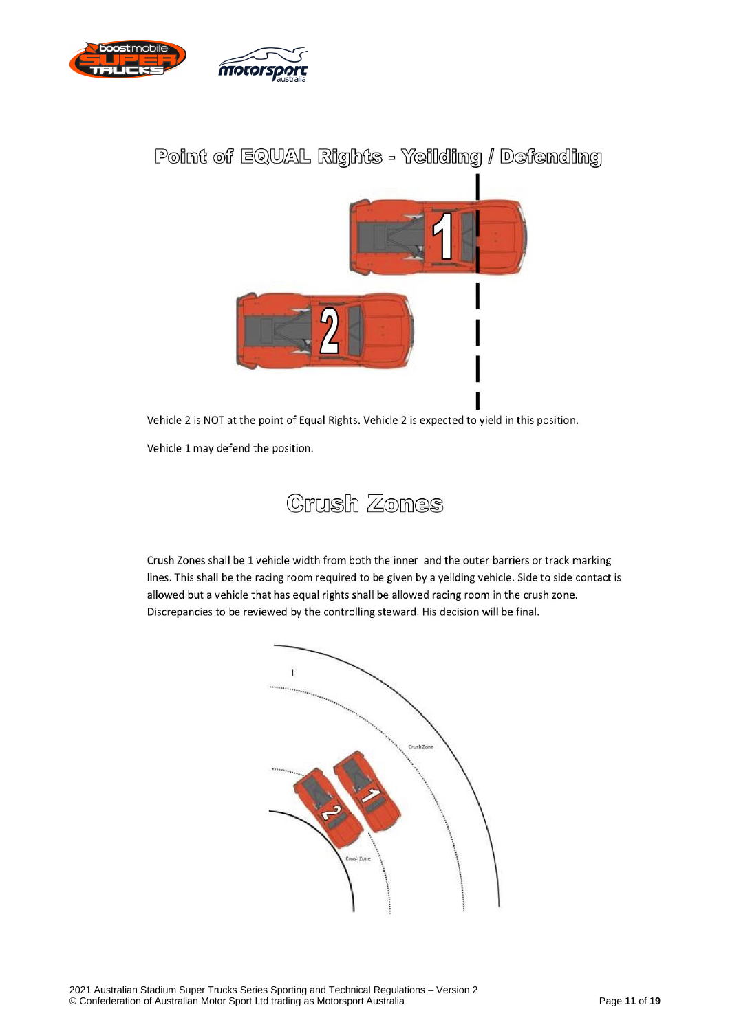

# Point of EQUAL Rights - Yeilding / Defending



Vehicle 2 is NOT at the point of Equal Rights. Vehicle 2 is expected to yield in this position.

Vehicle 1 may defend the position.



Crush Zones shall be 1 vehicle width from both the inner and the outer barriers or track marking lines. This shall be the racing room required to be given by a yeilding vehicle. Side to side contact is allowed but a vehicle that has equal rights shall be allowed racing room in the crush zone. Discrepancies to be reviewed by the controlling steward. His decision will be final.

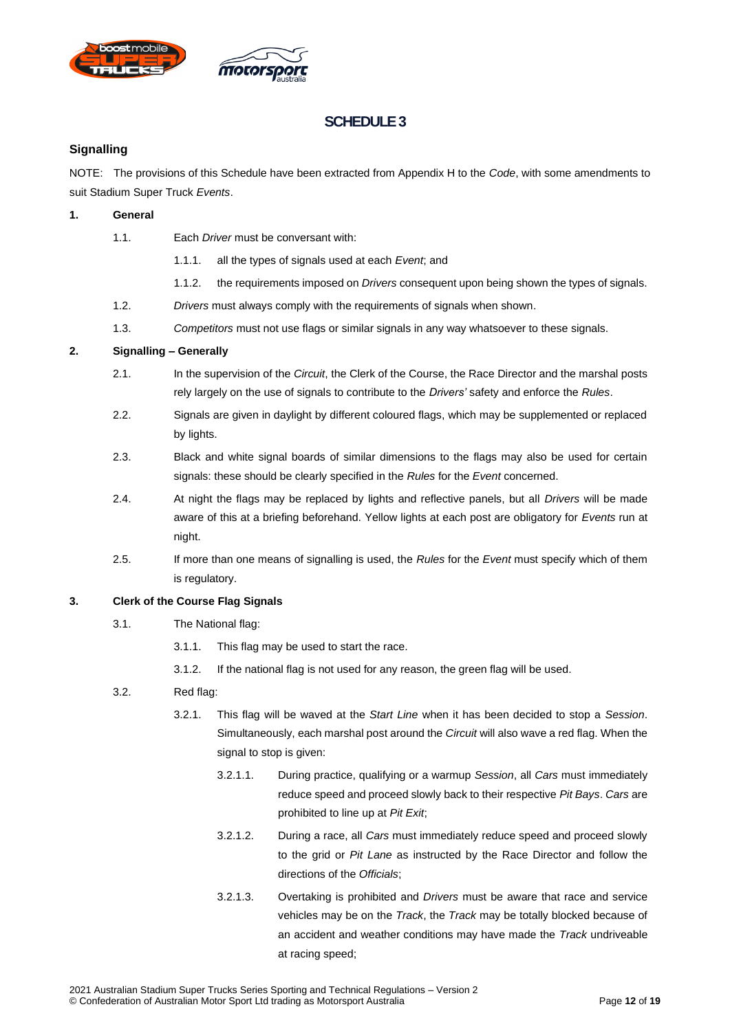



#### <span id="page-11-1"></span><span id="page-11-0"></span>**Signalling**

NOTE: The provisions of this Schedule have been extracted from Appendix H to the *Code*, with some amendments to suit Stadium Super Truck *Events*.

#### <span id="page-11-2"></span>**1. General**

- 1.1. Each *Driver* must be conversant with:
	- 1.1.1. all the types of signals used at each *Event*; and
	- 1.1.2. the requirements imposed on *Drivers* consequent upon being shown the types of signals.
- 1.2. *Drivers* must always comply with the requirements of signals when shown.
- 1.3. *Competitors* must not use flags or similar signals in any way whatsoever to these signals.

#### <span id="page-11-3"></span>**2. Signalling – Generally**

- 2.1. In the supervision of the *Circuit*, the Clerk of the Course, the Race Director and the marshal posts rely largely on the use of signals to contribute to the *Drivers'* safety and enforce the *Rules*.
- 2.2. Signals are given in daylight by different coloured flags, which may be supplemented or replaced by lights.
- 2.3. Black and white signal boards of similar dimensions to the flags may also be used for certain signals: these should be clearly specified in the *Rules* for the *Event* concerned.
- 2.4. At night the flags may be replaced by lights and reflective panels, but all *Drivers* will be made aware of this at a briefing beforehand. Yellow lights at each post are obligatory for *Events* run at night.
- 2.5. If more than one means of signalling is used, the *Rules* for the *Event* must specify which of them is regulatory.

#### <span id="page-11-4"></span>**3. Clerk of the Course Flag Signals**

- 3.1. The National flag:
	- 3.1.1. This flag may be used to start the race.
	- 3.1.2. If the national flag is not used for any reason, the green flag will be used.

#### 3.2. Red flag:

- 3.2.1. This flag will be waved at the *Start Line* when it has been decided to stop a *Session*. Simultaneously, each marshal post around the *Circuit* will also wave a red flag. When the signal to stop is given:
	- 3.2.1.1. During practice, qualifying or a warmup *Session*, all *Cars* must immediately reduce speed and proceed slowly back to their respective *Pit Bays*. *Cars* are prohibited to line up at *Pit Exit*;
	- 3.2.1.2. During a race, all *Cars* must immediately reduce speed and proceed slowly to the grid or *Pit Lane* as instructed by the Race Director and follow the directions of the *Officials*;
	- 3.2.1.3. Overtaking is prohibited and *Drivers* must be aware that race and service vehicles may be on the *Track*, the *Track* may be totally blocked because of an accident and weather conditions may have made the *Track* undriveable at racing speed;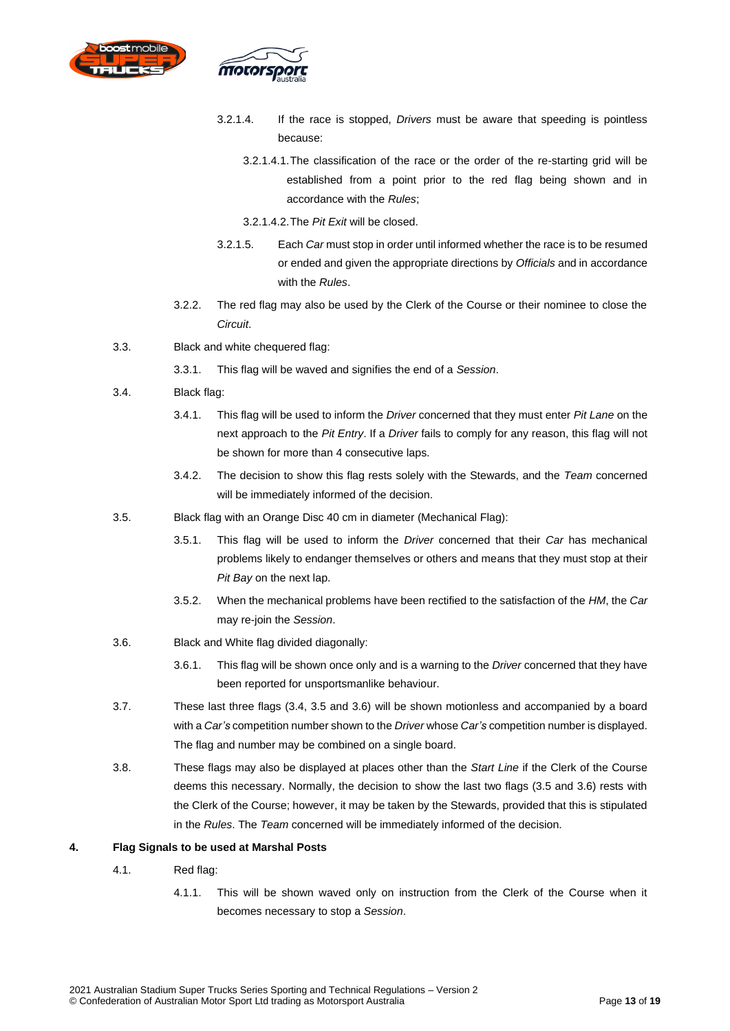

- 3.2.1.4. If the race is stopped, *Drivers* must be aware that speeding is pointless because:
	- 3.2.1.4.1.The classification of the race or the order of the re-starting grid will be established from a point prior to the red flag being shown and in accordance with the *Rules*;
	- 3.2.1.4.2.The *Pit Exit* will be closed.
- 3.2.1.5. Each *Car* must stop in order until informed whether the race is to be resumed or ended and given the appropriate directions by *Officials* and in accordance with the *Rules*.
- 3.2.2. The red flag may also be used by the Clerk of the Course or their nominee to close the *Circuit*.
- 3.3. Black and white chequered flag:
	- 3.3.1. This flag will be waved and signifies the end of a *Session*.
- 3.4. Black flag:
	- 3.4.1. This flag will be used to inform the *Driver* concerned that they must enter *Pit Lane* on the next approach to the *Pit Entry*. If a *Driver* fails to comply for any reason, this flag will not be shown for more than 4 consecutive laps.
	- 3.4.2. The decision to show this flag rests solely with the Stewards, and the *Team* concerned will be immediately informed of the decision.
- 3.5. Black flag with an Orange Disc 40 cm in diameter (Mechanical Flag):
	- 3.5.1. This flag will be used to inform the *Driver* concerned that their *Car* has mechanical problems likely to endanger themselves or others and means that they must stop at their *Pit Bay* on the next lap.
	- 3.5.2. When the mechanical problems have been rectified to the satisfaction of the *HM*, the *Car* may re-join the *Session*.
- 3.6. Black and White flag divided diagonally:
	- 3.6.1. This flag will be shown once only and is a warning to the *Driver* concerned that they have been reported for unsportsmanlike behaviour.
- 3.7. These last three flags (3.4, 3.5 and 3.6) will be shown motionless and accompanied by a board with a *Car's* competition number shown to the *Driver* whose *Car's* competition number is displayed. The flag and number may be combined on a single board.
- 3.8. These flags may also be displayed at places other than the *Start Line* if the Clerk of the Course deems this necessary. Normally, the decision to show the last two flags (3.5 and 3.6) rests with the Clerk of the Course; however, it may be taken by the Stewards, provided that this is stipulated in the *Rules*. The *Team* concerned will be immediately informed of the decision.

#### <span id="page-12-0"></span>**4. Flag Signals to be used at Marshal Posts**

- 4.1. Red flag:
	- 4.1.1. This will be shown waved only on instruction from the Clerk of the Course when it becomes necessary to stop a *Session*.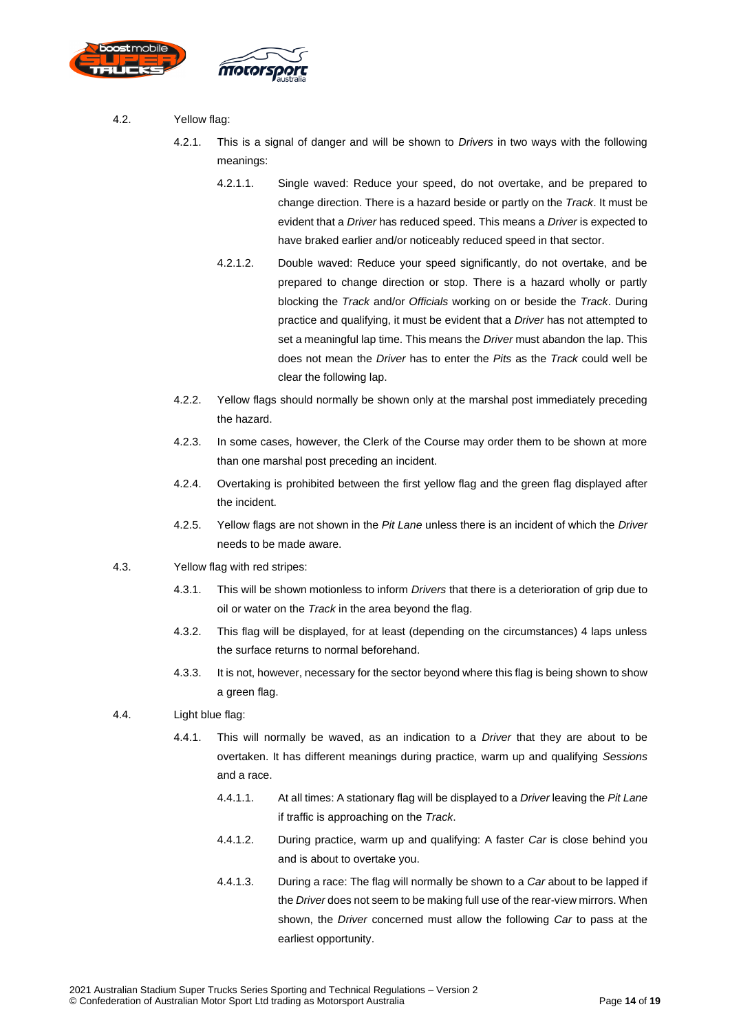

- 4.2. Yellow flag:
	- 4.2.1. This is a signal of danger and will be shown to *Drivers* in two ways with the following meanings:
		- 4.2.1.1. Single waved: Reduce your speed, do not overtake, and be prepared to change direction. There is a hazard beside or partly on the *Track*. It must be evident that a *Driver* has reduced speed. This means a *Driver* is expected to have braked earlier and/or noticeably reduced speed in that sector.
		- 4.2.1.2. Double waved: Reduce your speed significantly, do not overtake, and be prepared to change direction or stop. There is a hazard wholly or partly blocking the *Track* and/or *Officials* working on or beside the *Track*. During practice and qualifying, it must be evident that a *Driver* has not attempted to set a meaningful lap time. This means the *Driver* must abandon the lap. This does not mean the *Driver* has to enter the *Pits* as the *Track* could well be clear the following lap.
	- 4.2.2. Yellow flags should normally be shown only at the marshal post immediately preceding the hazard.
	- 4.2.3. In some cases, however, the Clerk of the Course may order them to be shown at more than one marshal post preceding an incident.
	- 4.2.4. Overtaking is prohibited between the first yellow flag and the green flag displayed after the incident.
	- 4.2.5. Yellow flags are not shown in the *Pit Lane* unless there is an incident of which the *Driver* needs to be made aware.
- 4.3. Yellow flag with red stripes:
	- 4.3.1. This will be shown motionless to inform *Drivers* that there is a deterioration of grip due to oil or water on the *Track* in the area beyond the flag.
	- 4.3.2. This flag will be displayed, for at least (depending on the circumstances) 4 laps unless the surface returns to normal beforehand.
	- 4.3.3. It is not, however, necessary for the sector beyond where this flag is being shown to show a green flag.
- 4.4. Light blue flag:
	- 4.4.1. This will normally be waved, as an indication to a *Driver* that they are about to be overtaken. It has different meanings during practice, warm up and qualifying *Sessions* and a race.
		- 4.4.1.1. At all times: A stationary flag will be displayed to a *Driver* leaving the *Pit Lane* if traffic is approaching on the *Track*.
		- 4.4.1.2. During practice, warm up and qualifying: A faster *Car* is close behind you and is about to overtake you.
		- 4.4.1.3. During a race: The flag will normally be shown to a *Car* about to be lapped if the *Driver* does not seem to be making full use of the rear-view mirrors. When shown, the *Driver* concerned must allow the following *Car* to pass at the earliest opportunity.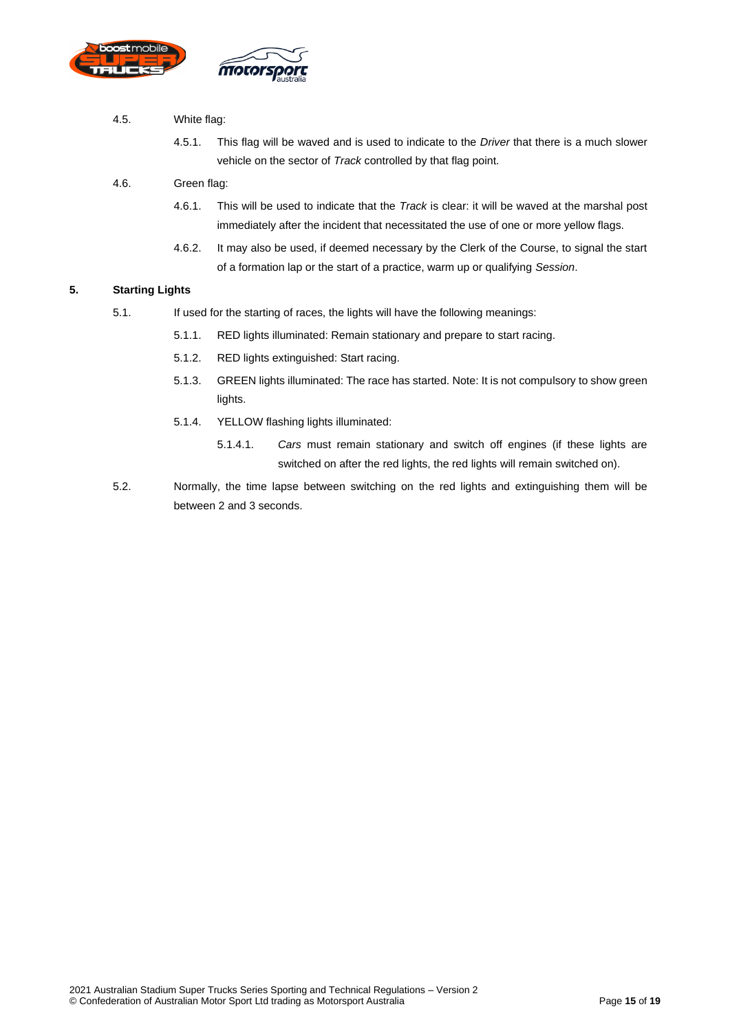

#### 4.5. White flag:

4.5.1. This flag will be waved and is used to indicate to the *Driver* that there is a much slower vehicle on the sector of *Track* controlled by that flag point.

#### 4.6. Green flag:

- 4.6.1. This will be used to indicate that the *Track* is clear: it will be waved at the marshal post immediately after the incident that necessitated the use of one or more yellow flags.
- 4.6.2. It may also be used, if deemed necessary by the Clerk of the Course, to signal the start of a formation lap or the start of a practice, warm up or qualifying *Session*.

#### <span id="page-14-0"></span>**5. Starting Lights**

- 5.1. If used for the starting of races, the lights will have the following meanings:
	- 5.1.1. RED lights illuminated: Remain stationary and prepare to start racing.
	- 5.1.2. RED lights extinguished: Start racing.
	- 5.1.3. GREEN lights illuminated: The race has started. Note: It is not compulsory to show green lights.
	- 5.1.4. YELLOW flashing lights illuminated:
		- 5.1.4.1. *Cars* must remain stationary and switch off engines (if these lights are switched on after the red lights, the red lights will remain switched on).
- 5.2. Normally, the time lapse between switching on the red lights and extinguishing them will be between 2 and 3 seconds.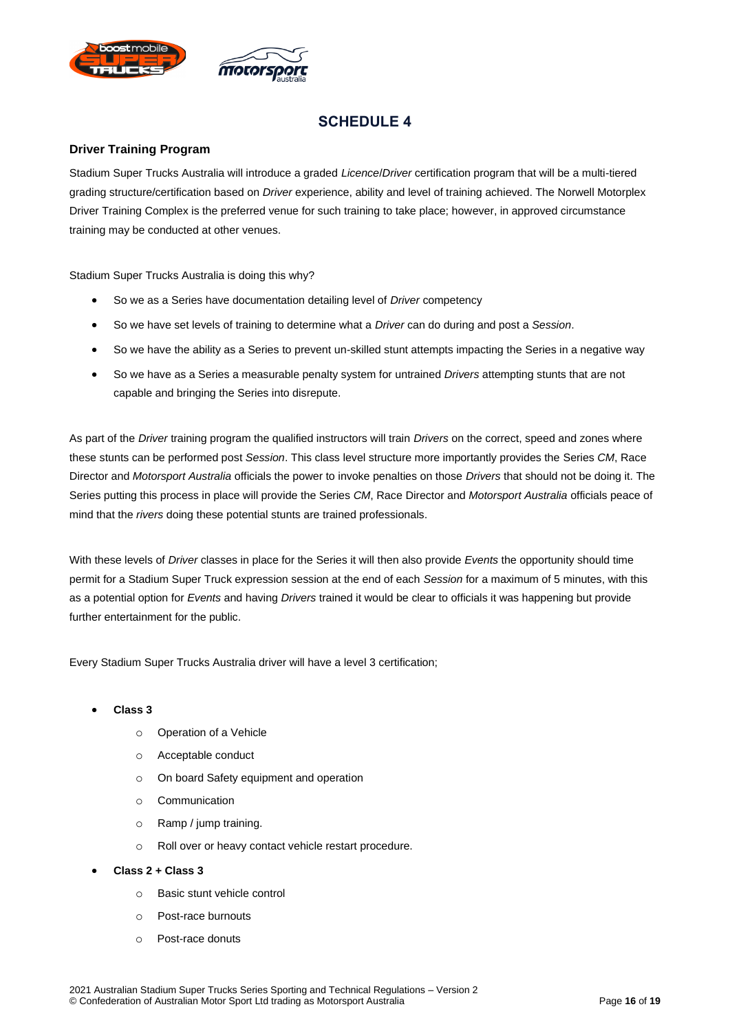

#### <span id="page-15-1"></span><span id="page-15-0"></span>**Driver Training Program**

Stadium Super Trucks Australia will introduce a graded *Licence*/*Driver* certification program that will be a multi-tiered grading structure/certification based on *Driver* experience, ability and level of training achieved. The Norwell Motorplex Driver Training Complex is the preferred venue for such training to take place; however, in approved circumstance training may be conducted at other venues.

Stadium Super Trucks Australia is doing this why?

- So we as a Series have documentation detailing level of *Driver* competency
- So we have set levels of training to determine what a *Driver* can do during and post a *Session*.
- So we have the ability as a Series to prevent un-skilled stunt attempts impacting the Series in a negative way
- So we have as a Series a measurable penalty system for untrained *Drivers* attempting stunts that are not capable and bringing the Series into disrepute.

As part of the *Driver* training program the qualified instructors will train *Drivers* on the correct, speed and zones where these stunts can be performed post *Session*. This class level structure more importantly provides the Series *CM*, Race Director and *Motorsport Australia* officials the power to invoke penalties on those *Drivers* that should not be doing it. The Series putting this process in place will provide the Series *CM*, Race Director and *Motorsport Australia* officials peace of mind that the *rivers* doing these potential stunts are trained professionals.

With these levels of *Driver* classes in place for the Series it will then also provide *Events* the opportunity should time permit for a Stadium Super Truck expression session at the end of each *Session* for a maximum of 5 minutes, with this as a potential option for *Events* and having *Drivers* trained it would be clear to officials it was happening but provide further entertainment for the public.

Every Stadium Super Trucks Australia driver will have a level 3 certification;

#### • **Class 3**

- o Operation of a Vehicle
- o Acceptable conduct
- o On board Safety equipment and operation
- o Communication
- o Ramp / jump training.
- o Roll over or heavy contact vehicle restart procedure.
- **Class 2 + Class 3**
	- o Basic stunt vehicle control
	- o Post-race burnouts
	- o Post-race donuts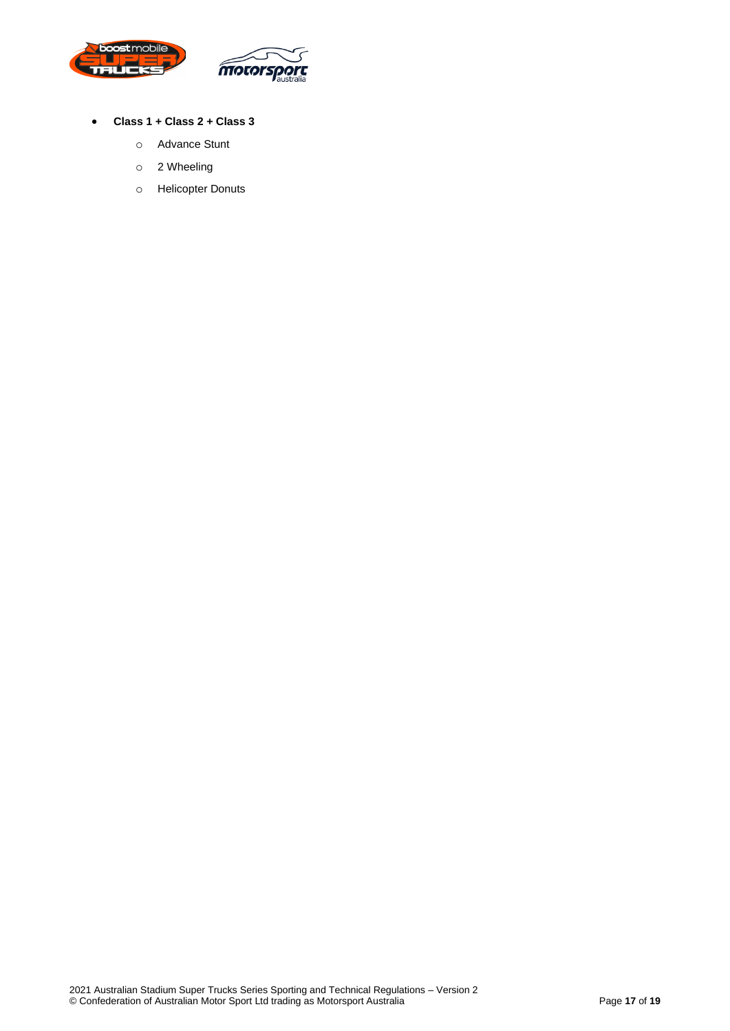

- **Class 1 + Class 2 + Class 3**
	- o Advance Stunt
	- o 2 Wheeling
	- o Helicopter Donuts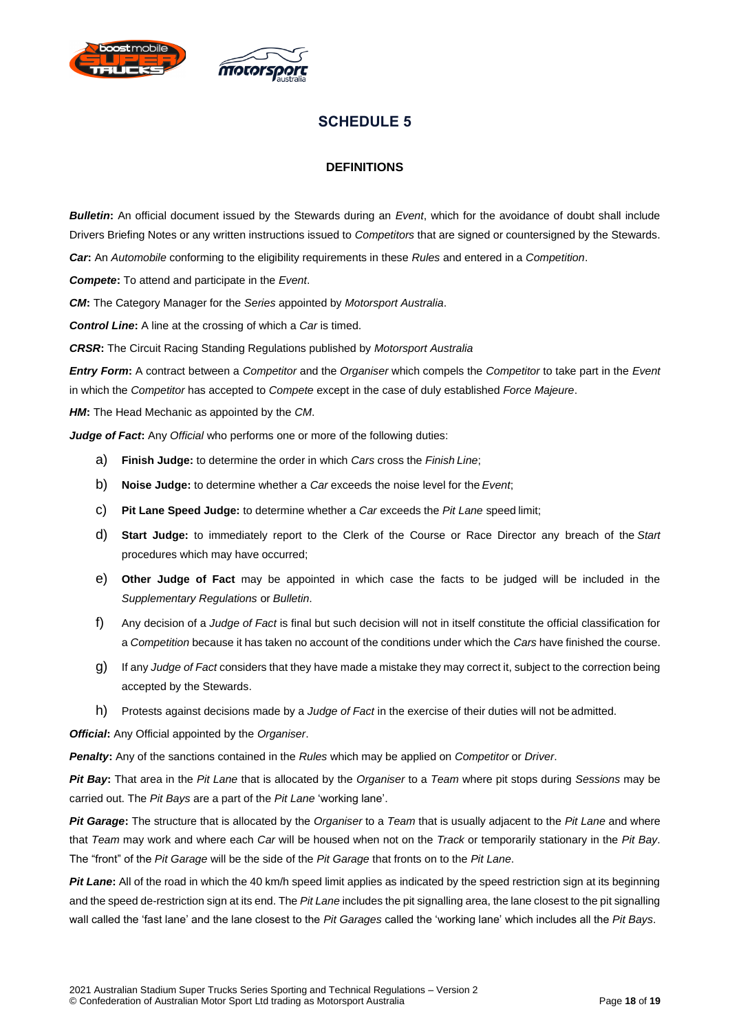<span id="page-17-0"></span>



#### **DEFINITIONS**

*Bulletin***:** An official document issued by the Stewards during an *Event*, which for the avoidance of doubt shall include Drivers Briefing Notes or any written instructions issued to *Competitors* that are signed or countersigned by the Stewards.

*Car***:** An *Automobile* conforming to the eligibility requirements in these *Rules* and entered in a *Competition*.

*Compete***:** To attend and participate in the *Event*.

*CM***:** The Category Manager for the *Series* appointed by *Motorsport Australia*.

*Control Line***:** A line at the crossing of which a *Car* is timed.

*CRSR***:** The Circuit Racing Standing Regulations published by *Motorsport Australia*

*Entry Form***:** A contract between a *Competitor* and the *Organiser* which compels the *Competitor* to take part in the *Event* in which the *Competitor* has accepted to *Compete* except in the case of duly established *Force Majeure*.

*HM***:** The Head Mechanic as appointed by the *CM*.

*Judge of Fact:* Any *Official* who performs one or more of the following duties:

- a) **Finish Judge:** to determine the order in which *Cars* cross the *Finish Line*;
- b) **Noise Judge:** to determine whether a *Car* exceeds the noise level for the *Event*;
- c) **Pit Lane Speed Judge:** to determine whether a *Car* exceeds the *Pit Lane* speed limit;
- d) **Start Judge:** to immediately report to the Clerk of the Course or Race Director any breach of the *Start* procedures which may have occurred;
- e) **Other Judge of Fact** may be appointed in which case the facts to be judged will be included in the *Supplementary Regulations* or *Bulletin*.
- f) Any decision of a *Judge of Fact* is final but such decision will not in itself constitute the official classification for a *Competition* because it has taken no account of the conditions under which the *Cars* have finished the course.
- g) If any *Judge of Fact* considers that they have made a mistake they may correct it, subject to the correction being accepted by the Stewards.
- h) Protests against decisions made by a *Judge of Fact* in the exercise of their duties will not be admitted.

*Official***:** Any Official appointed by the *Organiser*.

*Penalty***:** Any of the sanctions contained in the *Rules* which may be applied on *Competitor* or *Driver*.

*Pit Bay***:** That area in the *Pit Lane* that is allocated by the *Organiser* to a *Team* where pit stops during *Sessions* may be carried out. The *Pit Bays* are a part of the *Pit Lane* 'working lane'.

*Pit Garage***:** The structure that is allocated by the *Organiser* to a *Team* that is usually adjacent to the *Pit Lane* and where that *Team* may work and where each *Car* will be housed when not on the *Track* or temporarily stationary in the *Pit Bay*. The "front" of the *Pit Garage* will be the side of the *Pit Garage* that fronts on to the *Pit Lane*.

*Pit Lane*: All of the road in which the 40 km/h speed limit applies as indicated by the speed restriction sign at its beginning and the speed de-restriction sign at its end. The *Pit Lane* includes the pit signalling area, the lane closest to the pit signalling wall called the 'fast lane' and the lane closest to the *Pit Garages* called the 'working lane' which includes all the *Pit Bays*.